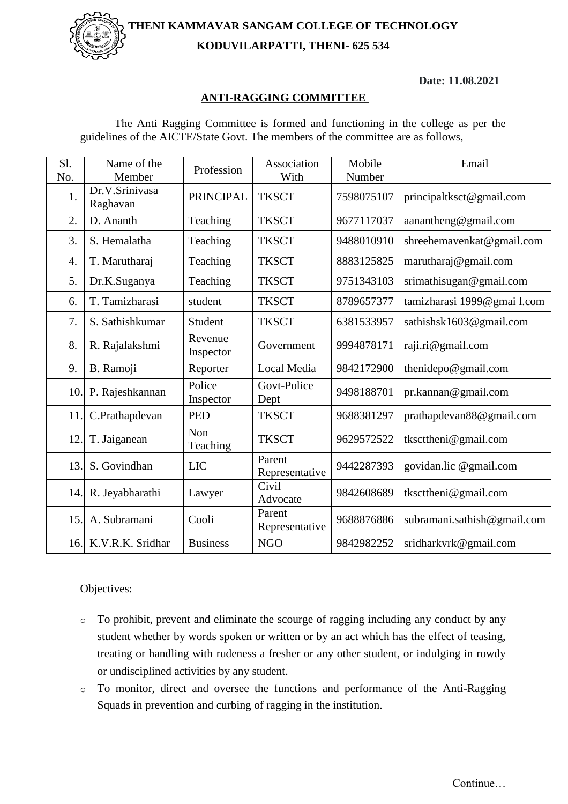**THENI KAMMAVAR SANGAM COLLEGE OF TECHNOLOGY KODUVILARPATTI, THENI- 625 534**



**Date: 11.08.2021**

## **ANTI-RAGGING COMMITTEE**

| Sl.<br>No. | Name of the<br>Member      | Profession           | Association<br>With      | Mobile<br>Number | Email                       |
|------------|----------------------------|----------------------|--------------------------|------------------|-----------------------------|
| 1.         | Dr.V.Srinivasa<br>Raghavan | <b>PRINCIPAL</b>     | <b>TKSCT</b>             | 7598075107       | principaltksct@gmail.com    |
| 2.         | D. Ananth                  | Teaching             | <b>TKSCT</b>             | 9677117037       | aanantheng@gmail.com        |
| 3.         | S. Hemalatha               | Teaching             | <b>TKSCT</b>             | 9488010910       | shreehemavenkat@gmail.com   |
| 4.         | T. Marutharaj              | Teaching             | <b>TKSCT</b>             | 8883125825       | marutharaj@gmail.com        |
| 5.         | Dr.K.Suganya               | Teaching             | <b>TKSCT</b>             | 9751343103       | srimathisugan@gmail.com     |
| 6.         | T. Tamizharasi             | student              | <b>TKSCT</b>             | 8789657377       | tamizharasi 1999@gmai l.com |
| 7.         | S. Sathishkumar            | Student              | <b>TKSCT</b>             | 6381533957       | sathishsk1603@gmail.com     |
| 8.         | R. Rajalakshmi             | Revenue<br>Inspector | Government               | 9994878171       | raji.ri@gmail.com           |
| 9.         | B. Ramoji                  | Reporter             | Local Media              | 9842172900       | thenidepo@gmail.com         |
| 10.        | P. Rajeshkannan            | Police<br>Inspector  | Govt-Police<br>Dept      | 9498188701       | pr.kannan@gmail.com         |
| 11.        | C.Prathapdevan             | <b>PED</b>           | <b>TKSCT</b>             | 9688381297       | prathapdevan88@gmail.com    |
| 12.        | T. Jaiganean               | Non<br>Teaching      | <b>TKSCT</b>             | 9629572522       | tkscttheni@gmail.com        |
| 13.        | S. Govindhan               | <b>LIC</b>           | Parent<br>Representative | 9442287393       | govidan.lic @gmail.com      |
| 14.        | R. Jeyabharathi            | Lawyer               | Civil<br>Advocate        | 9842608689       | tkscttheni@gmail.com        |
| 15.        | A. Subramani               | Cooli                | Parent<br>Representative | 9688876886       | subramani.sathish@gmail.com |
|            | 16. K.V.R.K. Sridhar       | <b>Business</b>      | <b>NGO</b>               | 9842982252       | sridharkvrk@gmail.com       |

The Anti Ragging Committee is formed and functioning in the college as per the guidelines of the AICTE/State Govt. The members of the committee are as follows,

Objectives:

- o To prohibit, prevent and eliminate the scourge of ragging including any conduct by any student whether by words spoken or written or by an act which has the effect of teasing, treating or handling with rudeness a fresher or any other student, or indulging in rowdy or undisciplined activities by any student.
- o To monitor, direct and oversee the functions and performance of the Anti-Ragging Squads in prevention and curbing of ragging in the institution.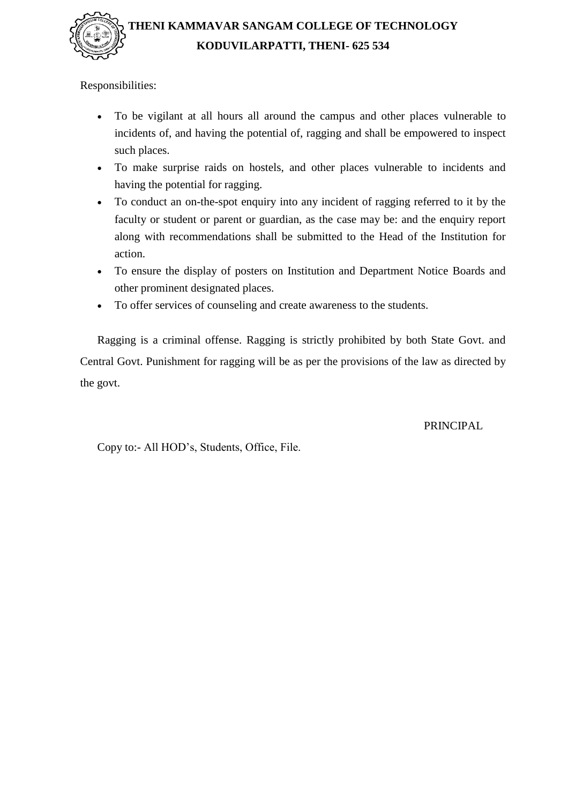

Responsibilities:

- To be vigilant at all hours all around the campus and other places vulnerable to incidents of, and having the potential of, ragging and shall be empowered to inspect such places.
- To make surprise raids on hostels, and other places vulnerable to incidents and having the potential for ragging.
- To conduct an on-the-spot enquiry into any incident of ragging referred to it by the faculty or student or parent or guardian, as the case may be: and the enquiry report along with recommendations shall be submitted to the Head of the Institution for action.
- To ensure the display of posters on Institution and Department Notice Boards and other prominent designated places.
- To offer services of counseling and create awareness to the students.

Ragging is a criminal offense. Ragging is strictly prohibited by both State Govt. and Central Govt. Punishment for ragging will be as per the provisions of the law as directed by the govt.

PRINCIPAL

Copy to:- All HOD's, Students, Office, File.